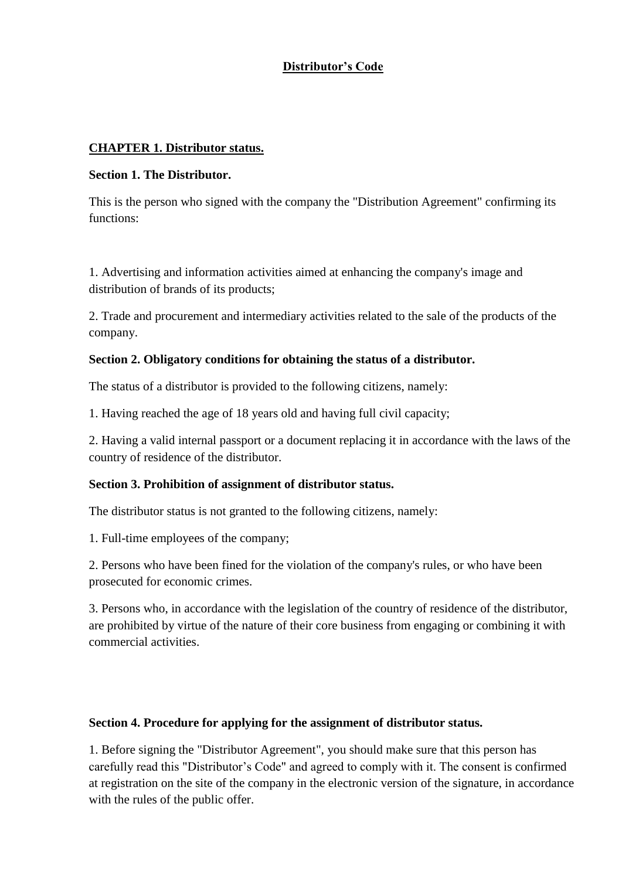# **Distributor's Code**

### **CHAPTER 1. Distributor status.**

#### **Section 1. The Distributor.**

This is the person who signed with the company the "Distribution Agreement" confirming its functions:

1. Advertising and information activities aimed at enhancing the company's image and distribution of brands of its products;

2. Trade and procurement and intermediary activities related to the sale of the products of the company.

#### **Section 2. Obligatory conditions for obtaining the status of a distributor.**

The status of a distributor is provided to the following citizens, namely:

1. Having reached the age of 18 years old and having full civil capacity;

2. Having a valid internal passport or a document replacing it in accordance with the laws of the country of residence of the distributor.

#### **Section 3. Prohibition of assignment of distributor status.**

The distributor status is not granted to the following citizens, namely:

1. Full-time employees of the company;

2. Persons who have been fined for the violation of the company's rules, or who have been prosecuted for economic crimes.

3. Persons who, in accordance with the legislation of the country of residence of the distributor, are prohibited by virtue of the nature of their core business from engaging or combining it with commercial activities.

#### **Section 4. Procedure for applying for the assignment of distributor status.**

1. Before signing the "Distributor Agreement", you should make sure that this person has carefully read this "Distributor's Code" and agreed to comply with it. The consent is confirmed at registration on the site of the company in the electronic version of the signature, in accordance with the rules of the public offer.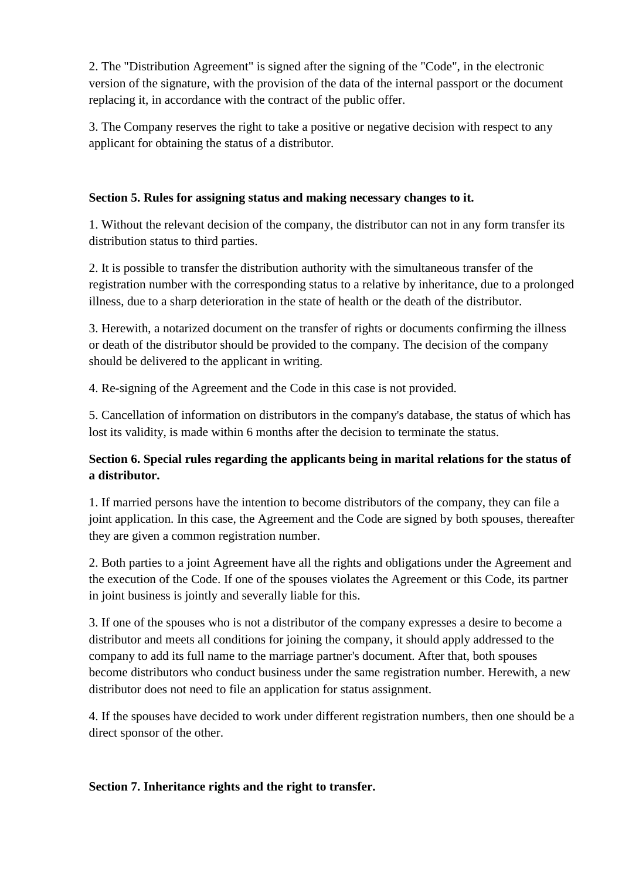2. The "Distribution Agreement" is signed after the signing of the "Code", in the electronic version of the signature, with the provision of the data of the internal passport or the document replacing it, in accordance with the contract of the public offer.

3. The Company reserves the right to take a positive or negative decision with respect to any applicant for obtaining the status of a distributor.

## **Section 5. Rules for assigning status and making necessary changes to it.**

1. Without the relevant decision of the company, the distributor can not in any form transfer its distribution status to third parties.

2. It is possible to transfer the distribution authority with the simultaneous transfer of the registration number with the corresponding status to a relative by inheritance, due to a prolonged illness, due to a sharp deterioration in the state of health or the death of the distributor.

3. Herewith, a notarized document on the transfer of rights or documents confirming the illness or death of the distributor should be provided to the company. The decision of the company should be delivered to the applicant in writing.

4. Re-signing of the Agreement and the Code in this case is not provided.

5. Cancellation of information on distributors in the company's database, the status of which has lost its validity, is made within 6 months after the decision to terminate the status.

# **Section 6. Special rules regarding the applicants being in marital relations for the status of a distributor.**

1. If married persons have the intention to become distributors of the company, they can file a joint application. In this case, the Agreement and the Code are signed by both spouses, thereafter they are given a common registration number.

2. Both parties to a joint Agreement have all the rights and obligations under the Agreement and the execution of the Code. If one of the spouses violates the Agreement or this Code, its partner in joint business is jointly and severally liable for this.

3. If one of the spouses who is not a distributor of the company expresses a desire to become a distributor and meets all conditions for joining the company, it should apply addressed to the company to add its full name to the marriage partner's document. After that, both spouses become distributors who conduct business under the same registration number. Herewith, a new distributor does not need to file an application for status assignment.

4. If the spouses have decided to work under different registration numbers, then one should be a direct sponsor of the other.

## **Section 7. Inheritance rights and the right to transfer.**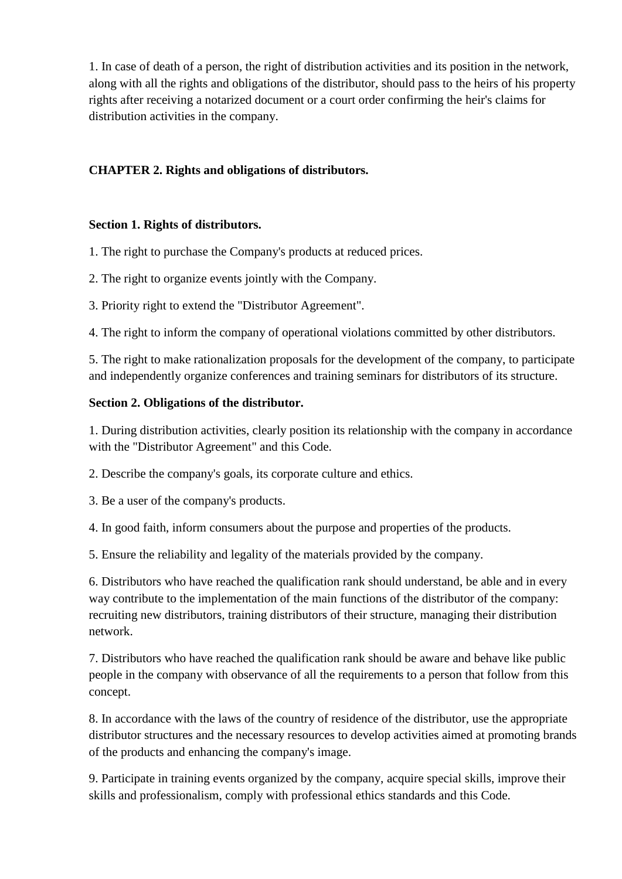1. In case of death of a person, the right of distribution activities and its position in the network, along with all the rights and obligations of the distributor, should pass to the heirs of his property rights after receiving a notarized document or a court order confirming the heir's claims for distribution activities in the company.

## **CHAPTER 2. Rights and obligations of distributors.**

## **Section 1. Rights of distributors.**

1. The right to purchase the Company's products at reduced prices.

- 2. The right to organize events jointly with the Company.
- 3. Priority right to extend the "Distributor Agreement".

4. The right to inform the company of operational violations committed by other distributors.

5. The right to make rationalization proposals for the development of the company, to participate and independently organize conferences and training seminars for distributors of its structure.

### **Section 2. Obligations of the distributor.**

1. During distribution activities, clearly position its relationship with the company in accordance with the "Distributor Agreement" and this Code.

2. Describe the company's goals, its corporate culture and ethics.

- 3. Be a user of the company's products.
- 4. In good faith, inform consumers about the purpose and properties of the products.

5. Ensure the reliability and legality of the materials provided by the company.

6. Distributors who have reached the qualification rank should understand, be able and in every way contribute to the implementation of the main functions of the distributor of the company: recruiting new distributors, training distributors of their structure, managing their distribution network.

7. Distributors who have reached the qualification rank should be aware and behave like public people in the company with observance of all the requirements to a person that follow from this concept.

8. In accordance with the laws of the country of residence of the distributor, use the appropriate distributor structures and the necessary resources to develop activities aimed at promoting brands of the products and enhancing the company's image.

9. Participate in training events organized by the company, acquire special skills, improve their skills and professionalism, comply with professional ethics standards and this Code.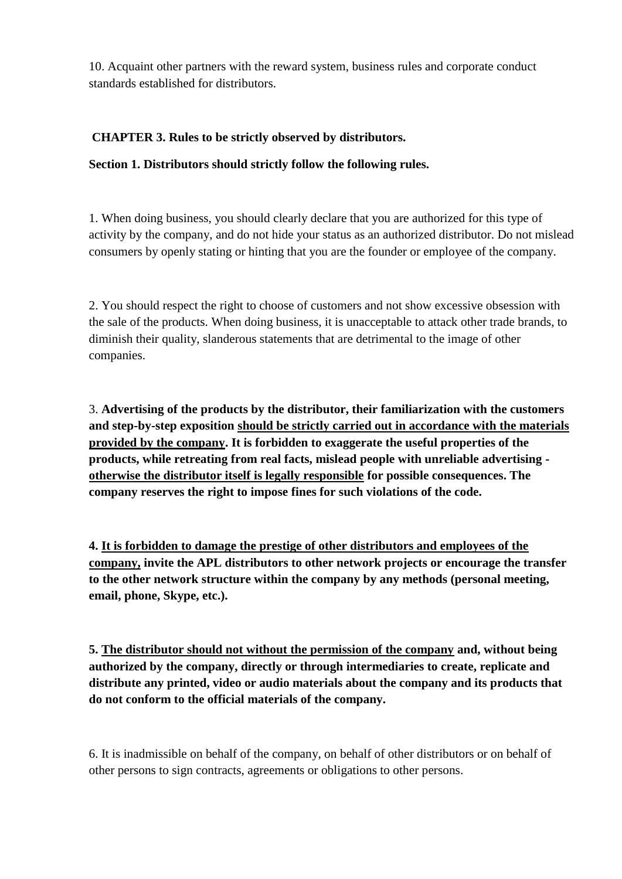10. Acquaint other partners with the reward system, business rules and corporate conduct standards established for distributors.

## **CHAPTER 3. Rules to be strictly observed by distributors.**

### **Section 1. Distributors should strictly follow the following rules.**

1. When doing business, you should clearly declare that you are authorized for this type of activity by the company, and do not hide your status as an authorized distributor. Do not mislead consumers by openly stating or hinting that you are the founder or employee of the company.

2. You should respect the right to choose of customers and not show excessive obsession with the sale of the products. When doing business, it is unacceptable to attack other trade brands, to diminish their quality, slanderous statements that are detrimental to the image of other companies.

3. **Advertising of the products by the distributor, their familiarization with the customers and step-by-step exposition should be strictly carried out in accordance with the materials provided by the company. It is forbidden to exaggerate the useful properties of the products, while retreating from real facts, mislead people with unreliable advertising otherwise the distributor itself is legally responsible for possible consequences. The company reserves the right to impose fines for such violations of the code.**

**4. It is forbidden to damage the prestige of other distributors and employees of the company, invite the APL distributors to other network projects or encourage the transfer to the other network structure within the company by any methods (personal meeting, email, phone, Skype, etc.).**

**5. The distributor should not without the permission of the company and, without being authorized by the company, directly or through intermediaries to create, replicate and distribute any printed, video or audio materials about the company and its products that do not conform to the official materials of the company.**

6. It is inadmissible on behalf of the company, on behalf of other distributors or on behalf of other persons to sign contracts, agreements or obligations to other persons.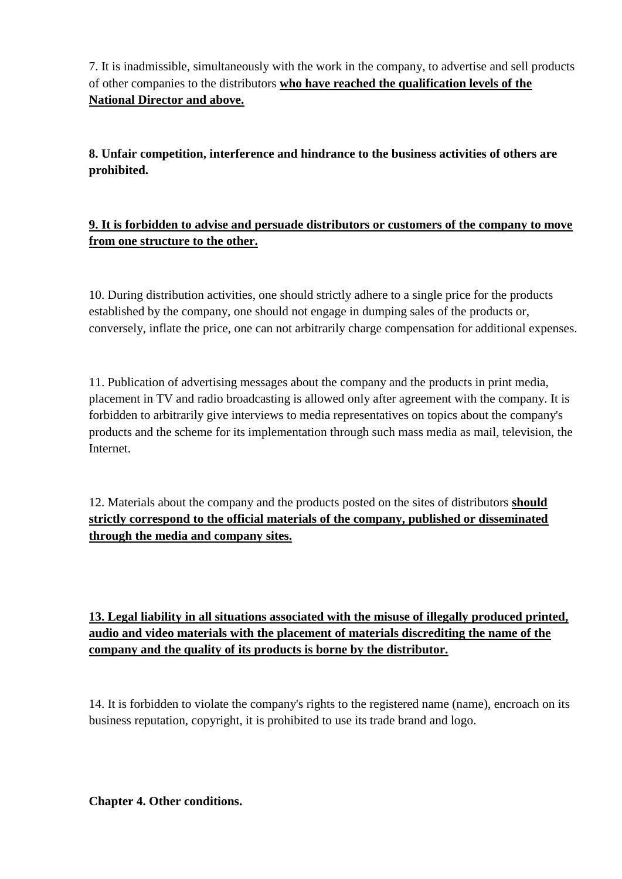7. It is inadmissible, simultaneously with the work in the company, to advertise and sell products of other companies to the distributors **who have reached the qualification levels of the National Director and above.**

**8. Unfair competition, interference and hindrance to the business activities of others are prohibited.**

# **9. It is forbidden to advise and persuade distributors or customers of the company to move from one structure to the other.**

10. During distribution activities, one should strictly adhere to a single price for the products established by the company, one should not engage in dumping sales of the products or, conversely, inflate the price, one can not arbitrarily charge compensation for additional expenses.

11. Publication of advertising messages about the company and the products in print media, placement in TV and radio broadcasting is allowed only after agreement with the company. It is forbidden to arbitrarily give interviews to media representatives on topics about the company's products and the scheme for its implementation through such mass media as mail, television, the Internet.

12. Materials about the company and the products posted on the sites of distributors **should strictly correspond to the official materials of the company, published or disseminated through the media and company sites.**

# **13. Legal liability in all situations associated with the misuse of illegally produced printed, audio and video materials with the placement of materials discrediting the name of the company and the quality of its products is borne by the distributor.**

14. It is forbidden to violate the company's rights to the registered name (name), encroach on its business reputation, copyright, it is prohibited to use its trade brand and logo.

**Chapter 4. Other conditions.**